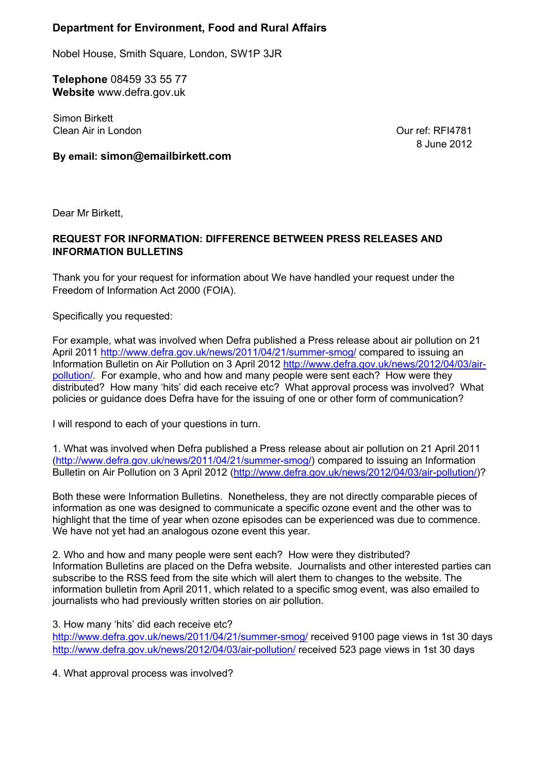# **Department for Environment, Food and Rural Affairs**

Nobel House, Smith Square, London, SW1P 3JR

**Telephone** 08459 33 55 77 **Website** www.defra.gov.uk

Simon Birkett Clean Air in London

Our ref: RFI4781 8 June 2012

**By email: simon@emailbirkett.com**

Dear Mr Birkett,

# **REQUEST FOR INFORMATION: DIFFERENCE BETWEEN PRESS RELEASES AND INFORMATION BULLETINS**

Thank you for your request for information about We have handled your request under the Freedom of Information Act 2000 (FOIA).

Specifically you requested:

For example, what was involved when Defra published a Press release about air pollution on 21 April 2011 http://www.defra.gov.uk/news/2011/04/21/summer-smog/ compared to issuing an Information Bulletin on Air Pollution on 3 April 2012 http://www.defra.gov.uk/news/2012/04/03/airpollution/*.* For example, who and how and many people were sent each? How were they distributed? How many 'hits' did each receive etc? What approval process was involved? What policies or guidance does Defra have for the issuing of one or other form of communication?

I will respond to each of your questions in turn.

1. What was involved when Defra published a Press release about air pollution on 21 April 2011 (http://www.defra.gov.uk/news/2011/04/21/summer-smog/) compared to issuing an Information Bulletin on Air Pollution on 3 April 2012 (http://www.defra.gov.uk/news/2012/04/03/air-pollution/)?

Both these were Information Bulletins. Nonetheless, they are not directly comparable pieces of information as one was designed to communicate a specific ozone event and the other was to highlight that the time of year when ozone episodes can be experienced was due to commence. We have not yet had an analogous ozone event this year.

2. Who and how and many people were sent each? How were they distributed? Information Bulletins are placed on the Defra website. Journalists and other interested parties can subscribe to the RSS feed from the site which will alert them to changes to the website. The information bulletin from April 2011, which related to a specific smog event, was also emailed to journalists who had previously written stories on air pollution.

3. How many 'hits' did each receive etc?

http://www.defra.gov.uk/news/2011/04/21/summer-smog/ received 9100 page views in 1st 30 days http://www.defra.gov.uk/news/2012/04/03/air-pollution/ received 523 page views in 1st 30 days

4. What approval process was involved?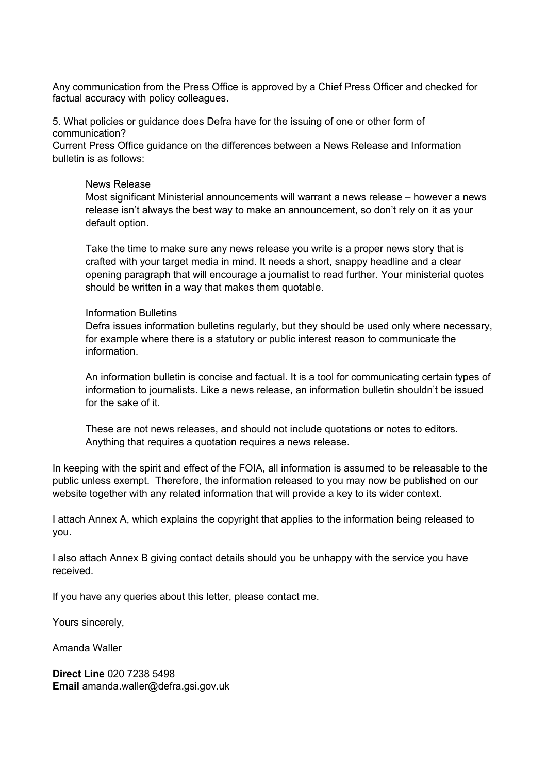Any communication from the Press Office is approved by a Chief Press Officer and checked for factual accuracy with policy colleagues.

5. What policies or guidance does Defra have for the issuing of one or other form of communication?

Current Press Office guidance on the differences between a News Release and Information bulletin is as follows:

#### News Release

Most significant Ministerial announcements will warrant a news release – however a news release isn't always the best way to make an announcement, so don't rely on it as your default option.

Take the time to make sure any news release you write is a proper news story that is crafted with your target media in mind. It needs a short, snappy headline and a clear opening paragraph that will encourage a journalist to read further. Your ministerial quotes should be written in a way that makes them quotable.

#### Information Bulletins

Defra issues information bulletins regularly, but they should be used only where necessary, for example where there is a statutory or public interest reason to communicate the information.

An information bulletin is concise and factual. It is a tool for communicating certain types of information to journalists. Like a news release, an information bulletin shouldn't be issued for the sake of it.

These are not news releases, and should not include quotations or notes to editors. Anything that requires a quotation requires a news release.

In keeping with the spirit and effect of the FOIA, all information is assumed to be releasable to the public unless exempt. Therefore, the information released to you may now be published on our website together with any related information that will provide a key to its wider context.

I attach Annex A, which explains the copyright that applies to the information being released to you.

I also attach Annex B giving contact details should you be unhappy with the service you have received.

If you have any queries about this letter, please contact me.

Yours sincerely,

Amanda Waller

**Direct Line** 020 7238 5498 **Email** amanda.waller@defra.gsi.gov.uk